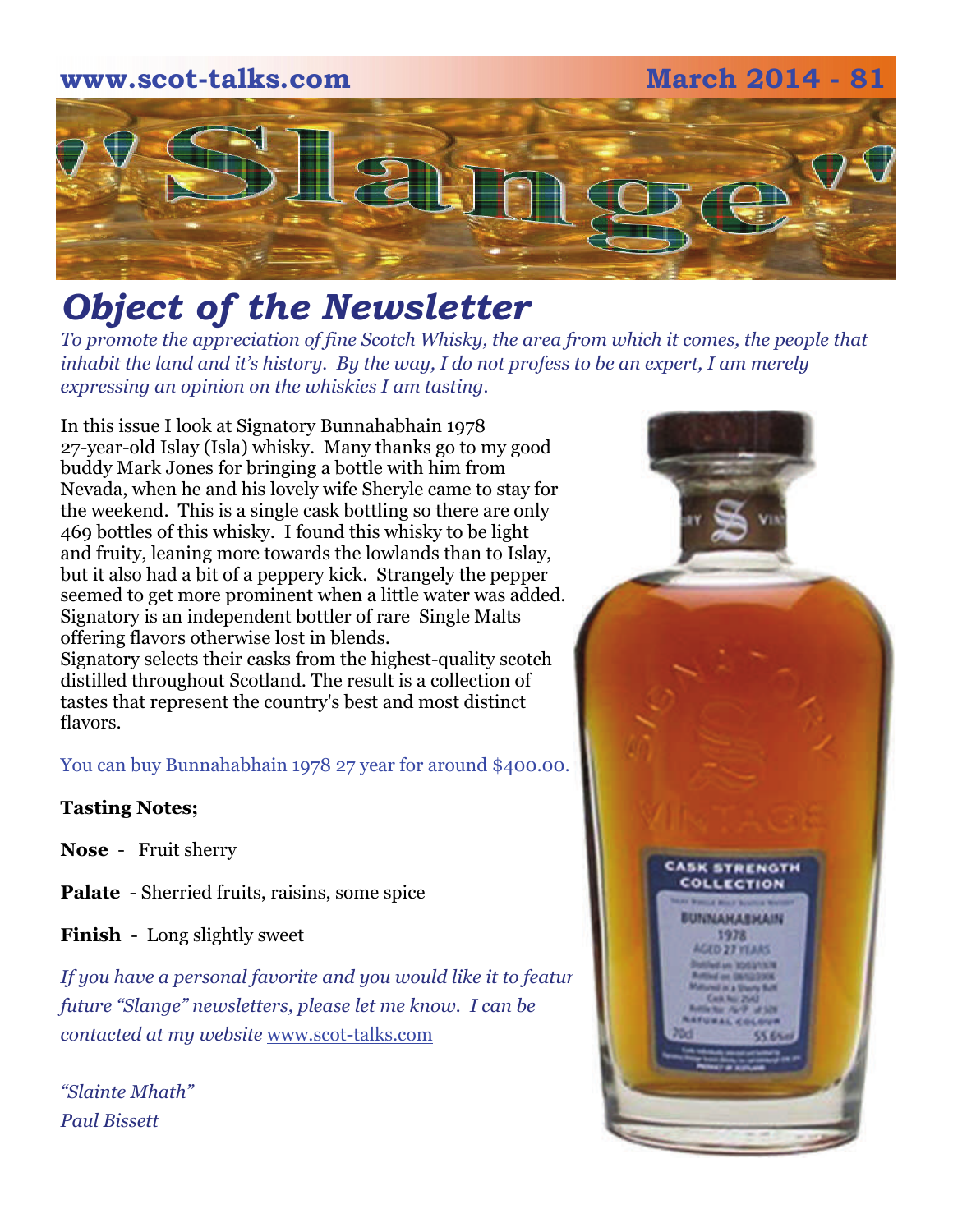# **www.scot-talks.com March 2014 - 81**  $\lfloor 2 \rfloor$

# *Object of the Newsletter*

*To promote the appreciation of fine Scotch Whisky, the area from which it comes, the people that inhabit the land and it's history. By the way, I do not profess to be an expert, I am merely expressing an opinion on the whiskies I am tasting.* 

In this issue I look at Signatory Bunnahabhain 1978 27-year-old Islay (Isla) whisky. Many thanks go to my good buddy Mark Jones for bringing a bottle with him from Nevada, when he and his lovely wife Sheryle came to stay for the weekend. This is a single cask bottling so there are only 469 bottles of this whisky. I found this whisky to be light and fruity, leaning more towards the lowlands than to Islay, but it also had a bit of a peppery kick. Strangely the pepper seemed to get more prominent when a little water was added. Signatory is an independent bottler of rare Single Malts offering flavors otherwise lost in blends. Signatory selects their casks from the highest-quality scotch distilled throughout Scotland. The result is a collection of tastes that represent the country's best and most distinct flavors.

You can buy Bunnahabhain 1978 27 year for around \$400.00.

## **Tasting Notes;**

**Nose** - Fruit sherry

**Palate** - Sherried fruits, raisins, some spice

**Finish** - Long slightly sweet

If you have a personal favorite and you would like it to feature *future "Slange" newsletters, please let me know. I can be contacted at my website* [www.scot-talks.com](http://www.scot-talks.com/default.html)

*"Slainte Mhath" Paul Bissett*

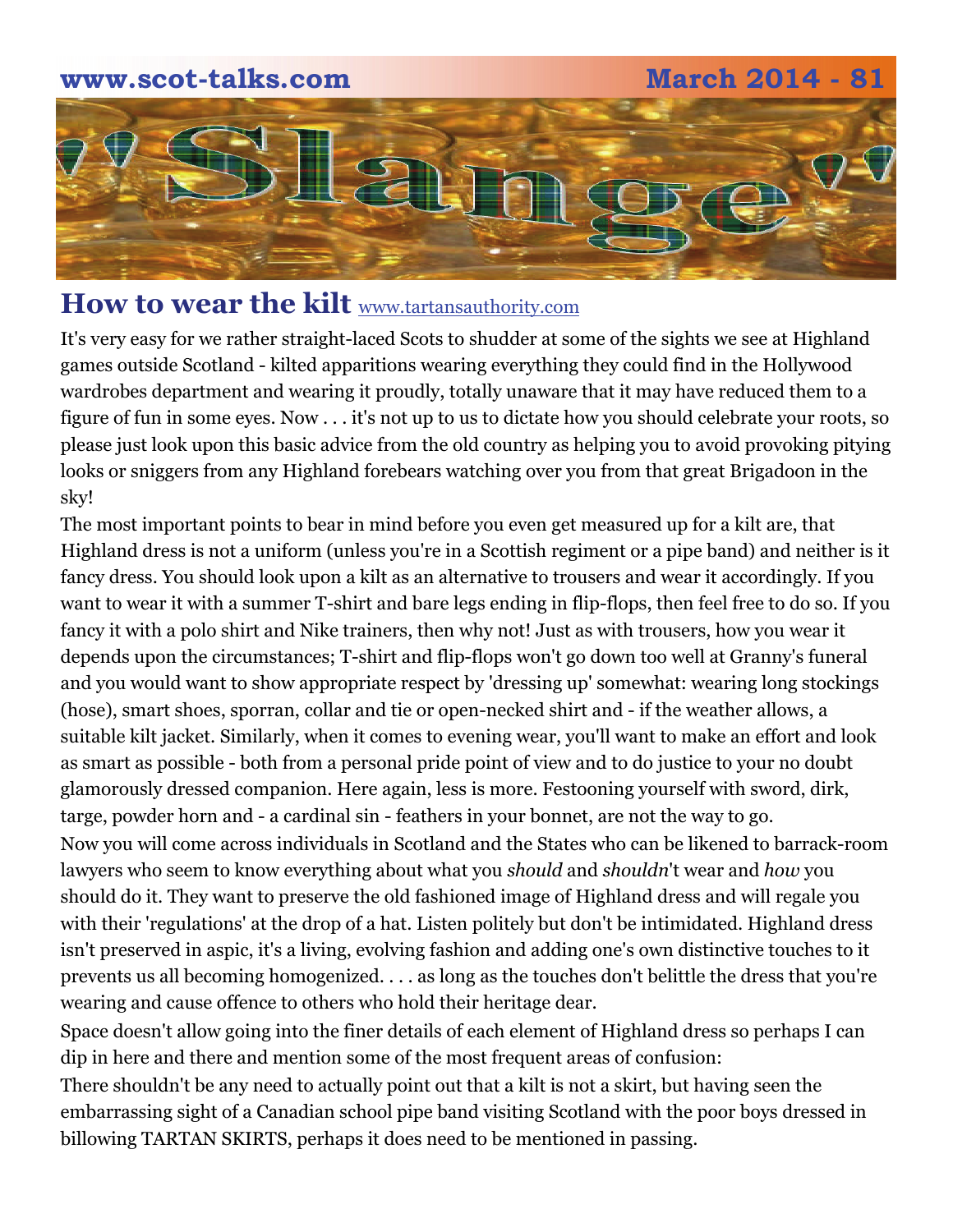

# How to wear the kilt **[www.tartansauthority.com](http://www.tartansauthority.com/highland-dress/modern/how-to-wear-the-kilt/some-advice/)**

It's very easy for we rather straight-laced Scots to shudder at some of the sights we see at Highland games outside Scotland - kilted apparitions wearing everything they could find in the Hollywood wardrobes department and wearing it proudly, totally unaware that it may have reduced them to a figure of fun in some eyes. Now . . . it's not up to us to dictate how you should celebrate your roots, so please just look upon this basic advice from the old country as helping you to avoid provoking pitying looks or sniggers from any Highland forebears watching over you from that great Brigadoon in the sky!

The most important points to bear in mind before you even get measured up for a kilt are, that Highland dress is not a uniform (unless you're in a Scottish regiment or a pipe band) and neither is it fancy dress. You should look upon a kilt as an alternative to trousers and wear it accordingly. If you want to wear it with a summer T-shirt and bare legs ending in flip-flops, then feel free to do so. If you fancy it with a polo shirt and Nike trainers, then why not! Just as with trousers, how you wear it depends upon the circumstances; T-shirt and flip-flops won't go down too well at Granny's funeral and you would want to show appropriate respect by 'dressing up' somewhat: wearing long stockings (hose), smart shoes, sporran, collar and tie or open-necked shirt and - if the weather allows, a suitable kilt jacket. Similarly, when it comes to evening wear, you'll want to make an effort and look as smart as possible - both from a personal pride point of view and to do justice to your no doubt glamorously dressed companion. Here again, less is more. Festooning yourself with sword, dirk, targe, powder horn and - a cardinal sin - feathers in your bonnet, are not the way to go. Now you will come across individuals in Scotland and the States who can be likened to barrack-room

lawyers who seem to know everything about what you *should* and *shouldn*'t wear and *how* you should do it. They want to preserve the old fashioned image of Highland dress and will regale you with their 'regulations' at the drop of a hat. Listen politely but don't be intimidated. Highland dress isn't preserved in aspic, it's a living, evolving fashion and adding one's own distinctive touches to it prevents us all becoming homogenized. . . . as long as the touches don't belittle the dress that you're wearing and cause offence to others who hold their heritage dear.

Space doesn't allow going into the finer details of each element of Highland dress so perhaps I can dip in here and there and mention some of the most frequent areas of confusion:

There shouldn't be any need to actually point out that a kilt is not a skirt, but having seen the embarrassing sight of a Canadian school pipe band visiting Scotland with the poor boys dressed in billowing TARTAN SKIRTS, perhaps it does need to be mentioned in passing.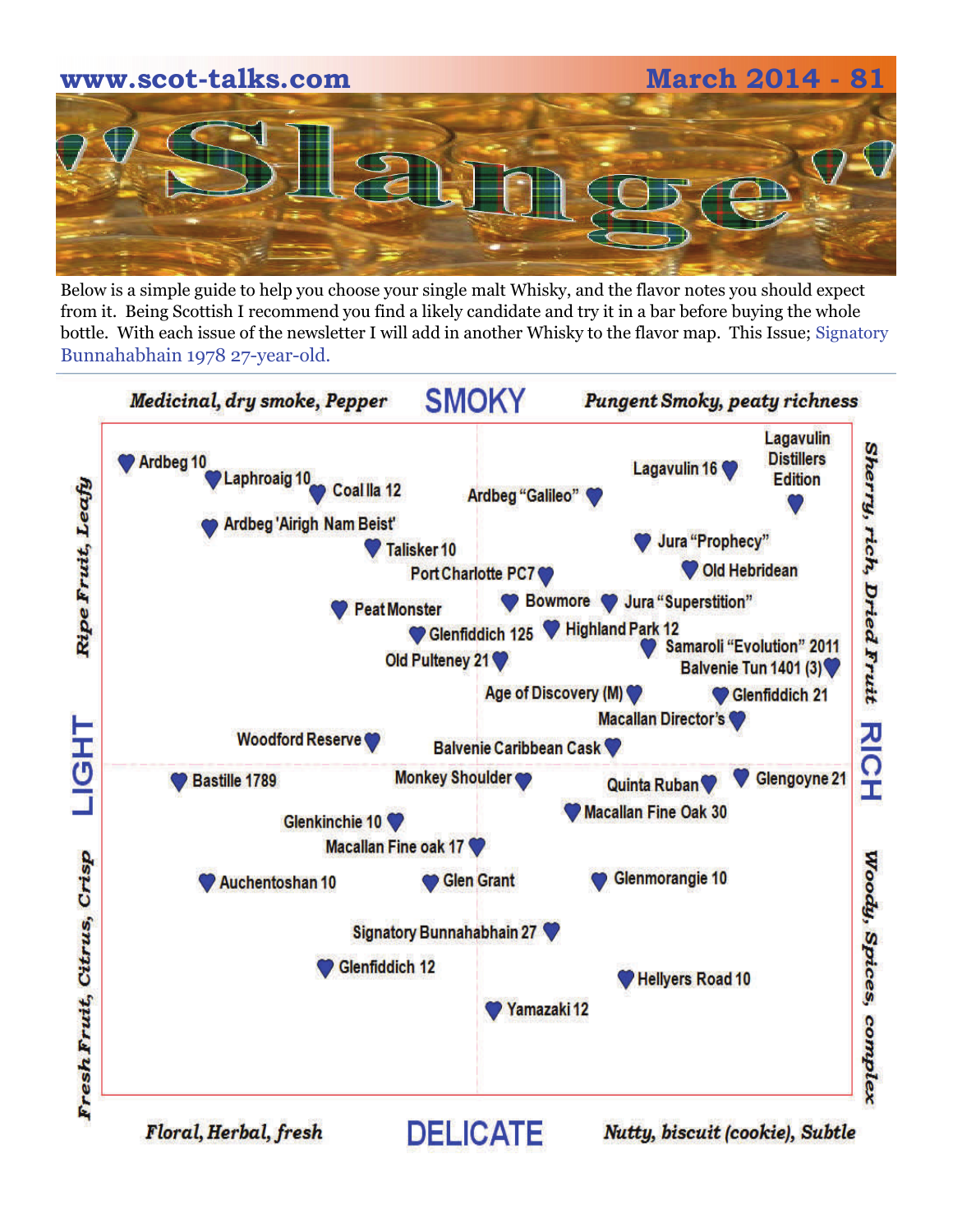Below is a simple guide to help you choose your single malt Whisky, and the flavor notes you should expect from it. Being Scottish I recommend you find a likely candidate and try it in a bar before buying the whole bottle. With each issue of the newsletter I will add in another Whisky to the flavor map. This Issue; Signatory Bunnahabhain 1978 27-year-old.

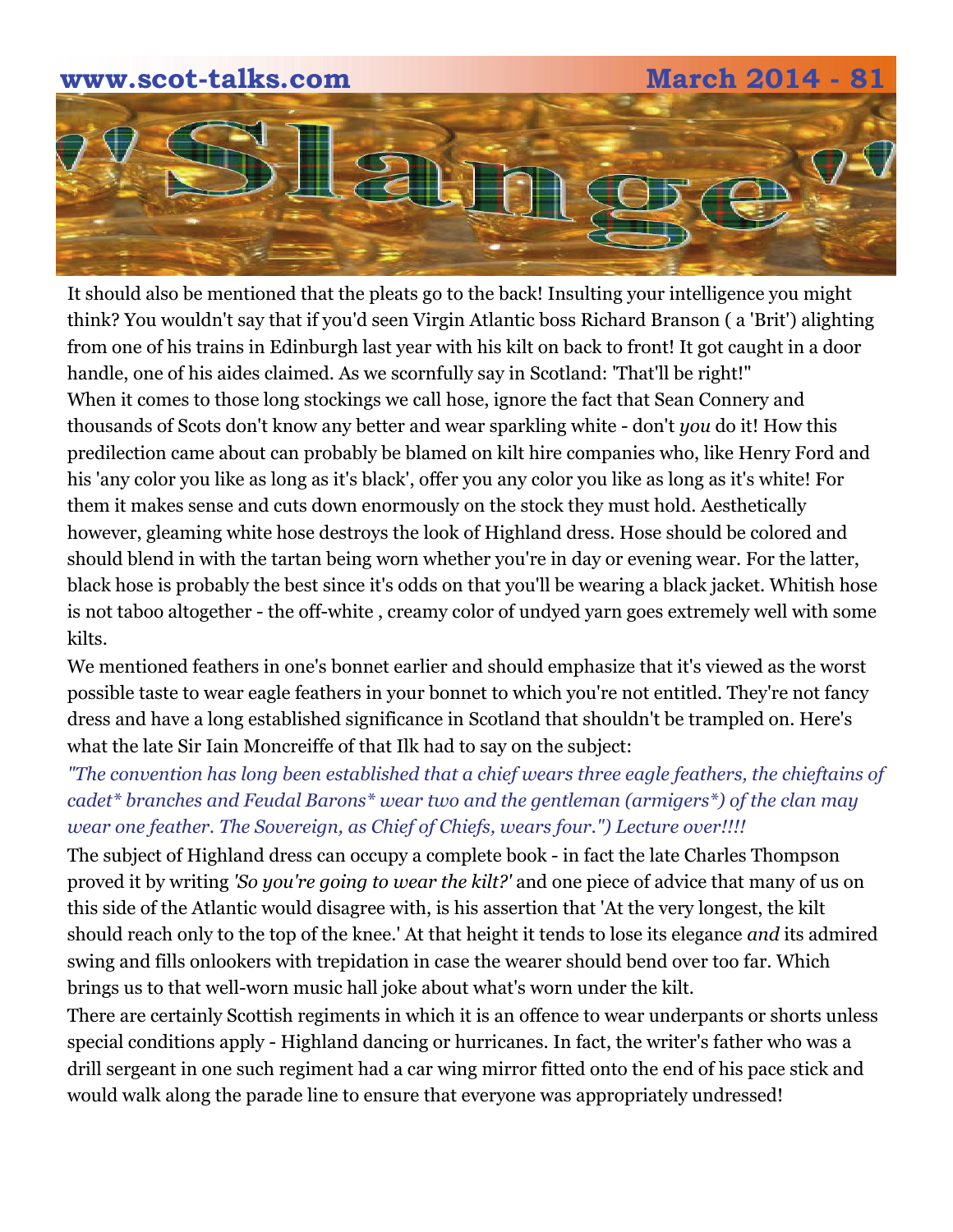

It should also be mentioned that the pleats go to the back! Insulting your intelligence you might think? You wouldn't say that if you'd seen Virgin Atlantic boss Richard Branson ( a 'Brit') alighting from one of his trains in Edinburgh last year with his kilt on back to front! It got caught in a door handle, one of his aides claimed. As we scornfully say in Scotland: 'That'll be right!" When it comes to those long stockings we call hose, ignore the fact that Sean Connery and thousands of Scots don't know any better and wear sparkling white - don't *you* do it! How this predilection came about can probably be blamed on kilt hire companies who, like Henry Ford and his 'any color you like as long as it's black', offer you any color you like as long as it's white! For them it makes sense and cuts down enormously on the stock they must hold. Aesthetically however, gleaming white hose destroys the look of Highland dress. Hose should be colored and should blend in with the tartan being worn whether you're in day or evening wear. For the latter, black hose is probably the best since it's odds on that you'll be wearing a black jacket. Whitish hose is not taboo altogether - the off-white , creamy color of undyed yarn goes extremely well with some kilts.

We mentioned feathers in one's bonnet earlier and should emphasize that it's viewed as the worst possible taste to wear eagle feathers in your bonnet to which you're not entitled. They're not fancy dress and have a long established significance in Scotland that shouldn't be trampled on. Here's what the late Sir Iain Moncreiffe of that Ilk had to say on the subject:

*"The convention has long been established that a chief wears three eagle feathers, the chieftains of cadet\* branches and Feudal Barons\* wear two and the gentleman (armigers\*) of the clan may wear one feather. The Sovereign, as Chief of Chiefs, wears four.") Lecture over!!!!* 

The subject of Highland dress can occupy a complete book - in fact the late Charles Thompson proved it by writing *'So you're going to wear the kilt?'* and one piece of advice that many of us on this side of the Atlantic would disagree with, is his assertion that 'At the very longest, the kilt should reach only to the top of the knee.' At that height it tends to lose its elegance *and* its admired swing and fills onlookers with trepidation in case the wearer should bend over too far. Which brings us to that well-worn music hall joke about what's worn under the kilt.

There are certainly Scottish regiments in which it is an offence to wear underpants or shorts unless special conditions apply - Highland dancing or hurricanes. In fact, the writer's father who was a drill sergeant in one such regiment had a car wing mirror fitted onto the end of his pace stick and would walk along the parade line to ensure that everyone was appropriately undressed!